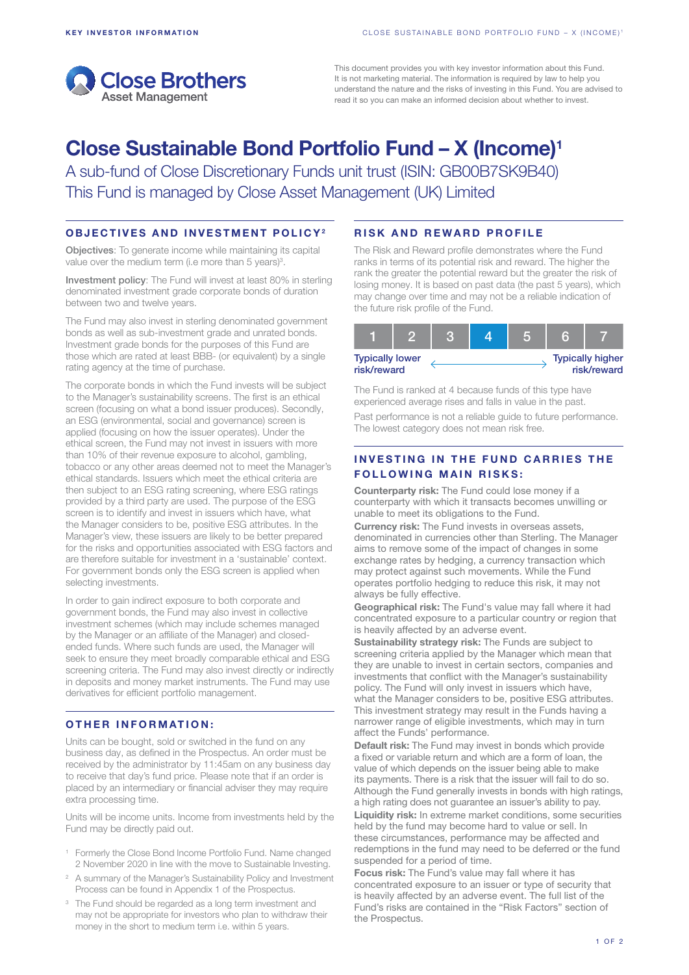

This document provides you with key investor information about this Fund. It is not marketing material. The information is required by law to help you understand the nature and the risks of investing in this Fund. You are advised to read it so you can make an informed decision about whether to invest.

# Close Sustainable Bond Portfolio Fund – X (Income)1

A sub-fund of Close Discretionary Funds unit trust (ISIN: GB00B7SK9B40) This Fund is managed by Close Asset Management (UK) Limited

### OBJECTIVES AND INVESTMENT POLICY2

Objectives: To generate income while maintaining its capital value over the medium term (i.e more than 5 years)<sup>3</sup>.

Investment policy: The Fund will invest at least 80% in sterling denominated investment grade corporate bonds of duration between two and twelve years.

The Fund may also invest in sterling denominated government bonds as well as sub-investment grade and unrated bonds. Investment grade bonds for the purposes of this Fund are those which are rated at least BBB- (or equivalent) by a single rating agency at the time of purchase.

The corporate bonds in which the Fund invests will be subject to the Manager's sustainability screens. The first is an ethical screen (focusing on what a bond issuer produces). Secondly, an ESG (environmental, social and governance) screen is applied (focusing on how the issuer operates). Under the ethical screen, the Fund may not invest in issuers with more than 10% of their revenue exposure to alcohol, gambling, tobacco or any other areas deemed not to meet the Manager's ethical standards. Issuers which meet the ethical criteria are then subject to an ESG rating screening, where ESG ratings provided by a third party are used. The purpose of the ESG screen is to identify and invest in issuers which have, what the Manager considers to be, positive ESG attributes. In the Manager's view, these issuers are likely to be better prepared for the risks and opportunities associated with ESG factors and are therefore suitable for investment in a 'sustainable' context. For government bonds only the ESG screen is applied when selecting investments.

In order to gain indirect exposure to both corporate and government bonds, the Fund may also invest in collective investment schemes (which may include schemes managed by the Manager or an affiliate of the Manager) and closedended funds. Where such funds are used, the Manager will seek to ensure they meet broadly comparable ethical and ESG screening criteria. The Fund may also invest directly or indirectly in deposits and money market instruments. The Fund may use derivatives for efficient portfolio management.

#### OTHER INFORMATION:

Units can be bought, sold or switched in the fund on any business day, as defined in the Prospectus. An order must be received by the administrator by 11:45am on any business day to receive that day's fund price. Please note that if an order is placed by an intermediary or financial adviser they may require extra processing time.

Units will be income units. Income from investments held by the Fund may be directly paid out.

- <sup>1</sup> Formerly the Close Bond Income Portfolio Fund. Name changed 2 November 2020 in line with the move to Sustainable Investing.
- <sup>2</sup> A summary of the Manager's Sustainability Policy and Investment Process can be found in Appendix 1 of the Prospectus.
- <sup>3</sup> The Fund should be regarded as a long term investment and may not be appropriate for investors who plan to withdraw their money in the short to medium term i.e. within 5 years.

## RISK AND REWARD PROFILE

The Risk and Reward profile demonstrates where the Fund ranks in terms of its potential risk and reward. The higher the rank the greater the potential reward but the greater the risk of losing money. It is based on past data (the past 5 years), which may change over time and may not be a reliable indication of the future risk profile of the Fund.

| <b>Typically lower</b><br>risk/reward |  |  | <b>Typically higher</b><br>risk/reward |
|---------------------------------------|--|--|----------------------------------------|

The Fund is ranked at 4 because funds of this type have experienced average rises and falls in value in the past.

Past performance is not a reliable guide to future performance. The lowest category does not mean risk free.

# INVESTING IN THE FUND CARRIES THE **FOLLOWING MAIN RISKS:**

Counterparty risk: The Fund could lose money if a counterparty with which it transacts becomes unwilling or unable to meet its obligations to the Fund.

Currency risk: The Fund invests in overseas assets, denominated in currencies other than Sterling. The Manager aims to remove some of the impact of changes in some exchange rates by hedging, a currency transaction which may protect against such movements. While the Fund operates portfolio hedging to reduce this risk, it may not always be fully effective.

Geographical risk: The Fund's value may fall where it had concentrated exposure to a particular country or region that is heavily affected by an adverse event.

Sustainability strategy risk: The Funds are subject to screening criteria applied by the Manager which mean that they are unable to invest in certain sectors, companies and investments that conflict with the Manager's sustainability policy. The Fund will only invest in issuers which have, what the Manager considers to be, positive ESG attributes. This investment strategy may result in the Funds having a narrower range of eligible investments, which may in turn affect the Funds' performance.

Default risk: The Fund may invest in bonds which provide a fixed or variable return and which are a form of loan, the value of which depends on the issuer being able to make its payments. There is a risk that the issuer will fail to do so. Although the Fund generally invests in bonds with high ratings, a high rating does not guarantee an issuer's ability to pay.

Liquidity risk: In extreme market conditions, some securities held by the fund may become hard to value or sell. In these circumstances, performance may be affected and redemptions in the fund may need to be deferred or the fund suspended for a period of time.

Focus risk: The Fund's value may fall where it has concentrated exposure to an issuer or type of security that is heavily affected by an adverse event. The full list of the Fund's risks are contained in the "Risk Factors" section of the Prospectus.